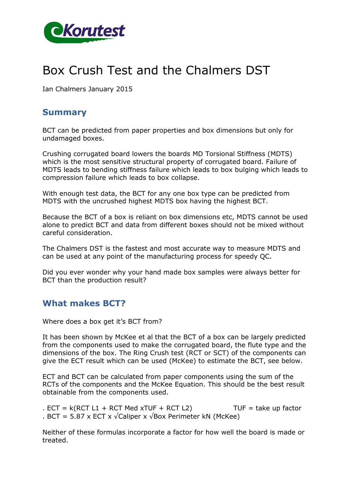

# Box Crush Test and the Chalmers DST

Ian Chalmers January 2015

## **Summary**

BCT can be predicted from paper properties and box dimensions but only for undamaged boxes.

Crushing corrugated board lowers the boards MD Torsional Stiffness (MDTS) which is the most sensitive structural property of corrugated board. Failure of MDTS leads to bending stiffness failure which leads to box bulging which leads to compression failure which leads to box collapse.

With enough test data, the BCT for any one box type can be predicted from MDTS with the uncrushed highest MDTS box having the highest BCT.

Because the BCT of a box is reliant on box dimensions etc, MDTS cannot be used alone to predict BCT and data from different boxes should not be mixed without careful consideration.

The Chalmers DST is the fastest and most accurate way to measure MDTS and can be used at any point of the manufacturing process for speedy QC.

Did you ever wonder why your hand made box samples were always better for BCT than the production result?

## **What makes BCT?**

Where does a box get it's BCT from?

It has been shown by McKee et al that the BCT of a box can be largely predicted from the components used to make the corrugated board, the flute type and the dimensions of the box. The Ring Crush test (RCT or SCT) of the components can give the ECT result which can be used (McKee) to estimate the BCT, see below.

ECT and BCT can be calculated from paper components using the sum of the RCTs of the components and the McKee Equation. This should be the best result obtainable from the components used.

 $E = k(RCT L1 + RCT Med xTUF + RCT L2)$  TUF = take up factor . BCT = 5.87 x ECT x  $\sqrt{\text{Caliber x} \sqrt{\text{Box}}$  Perimeter kN (McKee)

Neither of these formulas incorporate a factor for how well the board is made or treated.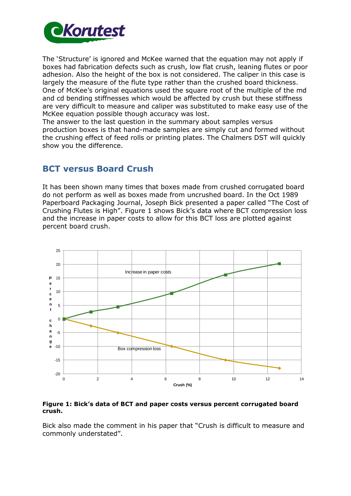

The 'Structure' is ignored and McKee warned that the equation may not apply if boxes had fabrication defects such as crush, low flat crush, leaning flutes or poor adhesion. Also the height of the box is not considered. The caliper in this case is largely the measure of the flute type rather than the crushed board thickness. One of McKee's original equations used the square root of the multiple of the md and cd bending stiffnesses which would be affected by crush but these stiffness are very difficult to measure and caliper was substituted to make easy use of the McKee equation possible though accuracy was lost.

The answer to the last question in the summary about samples versus production boxes is that hand-made samples are simply cut and formed without the crushing effect of feed rolls or printing plates. The Chalmers DST will quickly show you the difference.

# **BCT versus Board Crush**

It has been shown many times that boxes made from crushed corrugated board do not perform as well as boxes made from uncrushed board. In the Oct 1989 Paperboard Packaging Journal, Joseph Bick presented a paper called "The Cost of Crushing Flutes is High". Figure 1 shows Bick's data where BCT compression loss and the increase in paper costs to allow for this BCT loss are plotted against percent board crush.



#### **Figure 1: Bick's data of BCT and paper costs versus percent corrugated board crush.**

Bick also made the comment in his paper that "Crush is difficult to measure and commonly understated".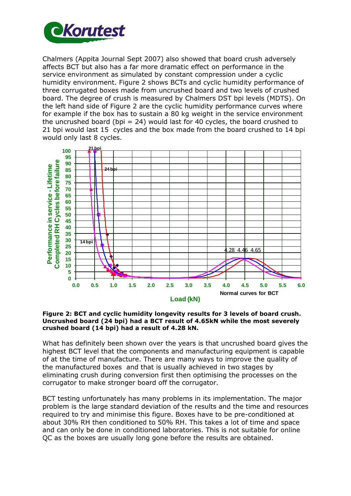

Chalmers (Appita Journal Sept 2007) also showed that board crush adversely affects BCT but also has a far more dramatic effect on performance in the service environment as simulated by constant compression under a cyclic humidity environment. Figure 2 shows BCTs and cyclic humidity performance of three corrugated boxes made from uncrushed board and two levels of crushed board. The degree of crush is measured by Chalmers DST bpi levels (MDTS). On the left hand side of Figure 2 are the cyclic humidity performance curves where for example if the box has to sustain a 80 kg weight in the service environment the uncrushed board (bpi = 24) would last for 40 cycles, the board crushed to 21 bpi would last 15 cycles and the box made from the board crushed to 14 bpi would only last 8 cycles.



**Figure 2: BCT and cyclic humidity longevity results for 3 levels of board crush. Uncrushed board (24 bpi) had a BCT result of 4.65kN while the most severely crushed board (14 bpi) had a result of 4.28 kN.** 

What has definitely been shown over the years is that uncrushed board gives the highest BCT level that the components and manufacturing equipment is capable of at the time of manufacture. There are many ways to improve the quality of the manufactured boxes and that is usually achieved in two stages by eliminating crush during conversion first then optimising the processes on the corrugator to make stronger board off the corrugator.

BCT testing unfortunately has many problems in its implementation. The major problem is the large standard deviation of the results and the time and resources required to try and minimise this figure. Boxes have to be pre-conditioned at about 30% RH then conditioned to 50% RH. This takes a lot of time and space and can only be done in conditioned laboratories. This is not suitable for online QC as the boxes are usually long gone before the results are obtained.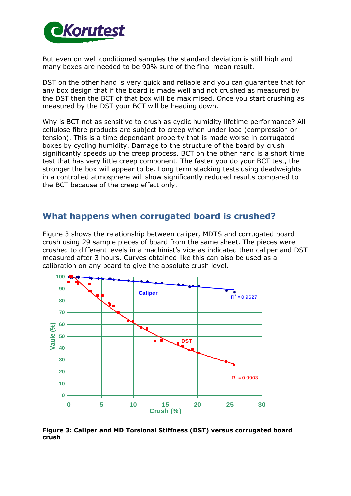

But even on well conditioned samples the standard deviation is still high and many boxes are needed to be 90% sure of the final mean result.

DST on the other hand is very quick and reliable and you can guarantee that for any box design that if the board is made well and not crushed as measured by the DST then the BCT of that box will be maximised. Once you start crushing as measured by the DST your BCT will be heading down.

Why is BCT not as sensitive to crush as cyclic humidity lifetime performance? All cellulose fibre products are subject to creep when under load (compression or tension). This is a time dependant property that is made worse in corrugated boxes by cycling humidity. Damage to the structure of the board by crush significantly speeds up the creep process. BCT on the other hand is a short time test that has very little creep component. The faster you do your BCT test, the stronger the box will appear to be. Long term stacking tests using deadweights in a controlled atmosphere will show significantly reduced results compared to the BCT because of the creep effect only.

## **What happens when corrugated board is crushed?**

Figure 3 shows the relationship between caliper, MDTS and corrugated board crush using 29 sample pieces of board from the same sheet. The pieces were crushed to different levels in a machinist's vice as indicated then caliper and DST measured after 3 hours. Curves obtained like this can also be used as a calibration on any board to give the absolute crush level.



**Figure 3: Caliper and MD Torsional Stiffness (DST) versus corrugated board crush**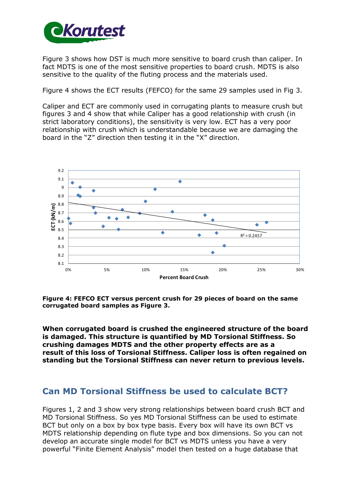

Figure 3 shows how DST is much more sensitive to board crush than caliper. In fact MDTS is one of the most sensitive properties to board crush. MDTS is also sensitive to the quality of the fluting process and the materials used.

Figure 4 shows the ECT results (FEFCO) for the same 29 samples used in Fig 3.

Caliper and ECT are commonly used in corrugating plants to measure crush but figures 3 and 4 show that while Caliper has a good relationship with crush (in strict laboratory conditions), the sensitivity is very low. ECT has a very poor relationship with crush which is understandable because we are damaging the board in the "Z" direction then testing it in the "X" direction.



**Figure 4: FEFCO ECT versus percent crush for 29 pieces of board on the same corrugated board samples as Figure 3.** 

**When corrugated board is crushed the engineered structure of the board is damaged. This structure is quantified by MD Torsional Stiffness. So crushing damages MDTS and the other property effects are as a result of this loss of Torsional Stiffness. Caliper loss is often regained on standing but the Torsional Stiffness can never return to previous levels.** 

## **Can MD Torsional Stiffness be used to calculate BCT?**

Figures 1, 2 and 3 show very strong relationships between board crush BCT and MD Torsional Stiffness. So yes MD Torsional Stiffness can be used to estimate BCT but only on a box by box type basis. Every box will have its own BCT vs MDTS relationship depending on flute type and box dimensions. So you can not develop an accurate single model for BCT vs MDTS unless you have a very powerful "Finite Element Analysis" model then tested on a huge database that